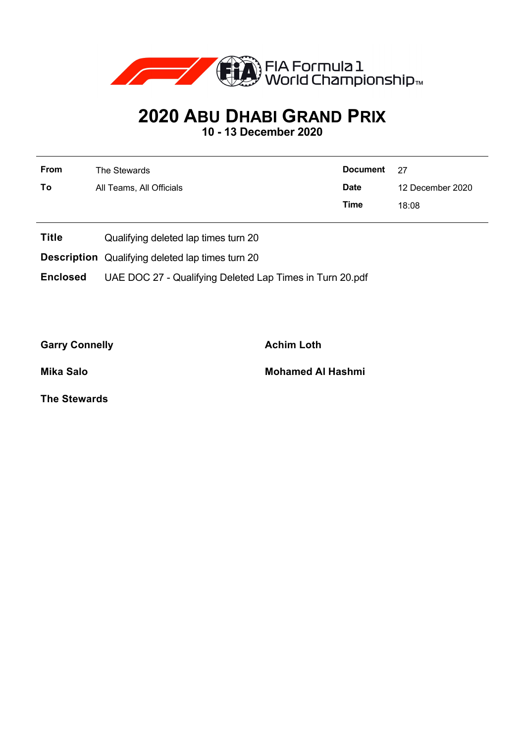

## **2020 ABU DHABI GRAND PRIX**

**10 - 13 December 2020**

| <b>From</b> | The Stewards             | Document 27 |                  |  |
|-------------|--------------------------|-------------|------------------|--|
| To          | All Teams, All Officials | <b>Date</b> | 12 December 2020 |  |
|             |                          | <b>Time</b> | 18:08            |  |

- **Title** Qualifying deleted lap times turn 20
- **Description** Qualifying deleted lap times turn 20

**Enclosed** UAE DOC 27 - Qualifying Deleted Lap Times in Turn 20.pdf

Garry Connelly **Achim Loth** 

**Mika Salo Mohamed Al Hashmi**

**The Stewards**